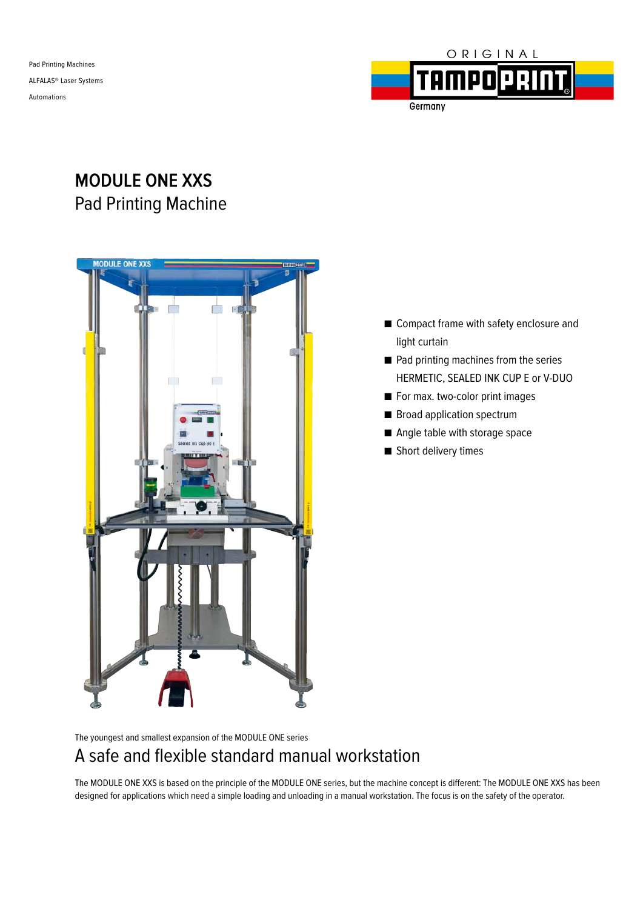Pad Printing Machines ALFALAS® Laser Systems Automations



## Germany

# **MODULE ONE XXS** Pad Printing Machine



- Compact frame with safety enclosure and light curtain
- Pad printing machines from the series HERMETIC, SEALED INK CUP E or V-DUO
- For max. two-color print images
- Broad application spectrum
- Angle table with storage space
- Short delivery times

The youngest and smallest expansion of the MODULE ONE series

## A safe and flexible standard manual workstation

The MODULE ONE XXS is based on the principle of the MODULE ONE series, but the machine concept is different: The MODULE ONE XXS has been designed for applications which need a simple loading and unloading in a manual workstation. The focus is on the safety of the operator.